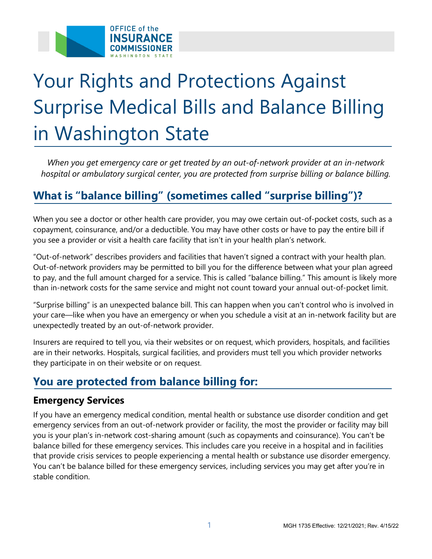

# Your Rights and Protections Against Surprise Medical Bills and Balance Billing in Washington State

*When you get emergency care or get treated by an out-of-network provider at an in-network hospital or ambulatory surgical center, you are protected from surprise billing or balance billing.*

## **What is "balance billing" (sometimes called "surprise billing")?**

When you see a doctor or other health care provider, you may owe certain out-of-pocket costs, such as a copayment, coinsurance, and/or a deductible. You may have other costs or have to pay the entire bill if you see a provider or visit a health care facility that isn't in your health plan's network.

"Out-of-network" describes providers and facilities that haven't signed a contract with your health plan. Out-of-network providers may be permitted to bill you for the difference between what your plan agreed to pay, and the full amount charged for a service. This is called "balance billing." This amount is likely more than in-network costs for the same service and might not count toward your annual out-of-pocket limit.

"Surprise billing" is an unexpected balance bill. This can happen when you can't control who is involved in your care—like when you have an emergency or when you schedule a visit at an in-network facility but are unexpectedly treated by an out-of-network provider.

Insurers are required to tell you, via their websites or on request, which providers, hospitals, and facilities are in their networks. Hospitals, surgical facilities, and providers must tell you which provider networks they participate in on their website or on request.

## **You are protected from balance billing for:**

#### **Emergency Services**

If you have an emergency medical condition, mental health or substance use disorder condition and get emergency services from an out-of-network provider or facility, the most the provider or facility may bill you is your plan's in-network cost-sharing amount (such as copayments and coinsurance). You can't be balance billed for these emergency services. This includes care you receive in a hospital and in facilities that provide crisis services to people experiencing a mental health or substance use disorder emergency. You can't be balance billed for these emergency services, including services you may get after you're in stable condition.